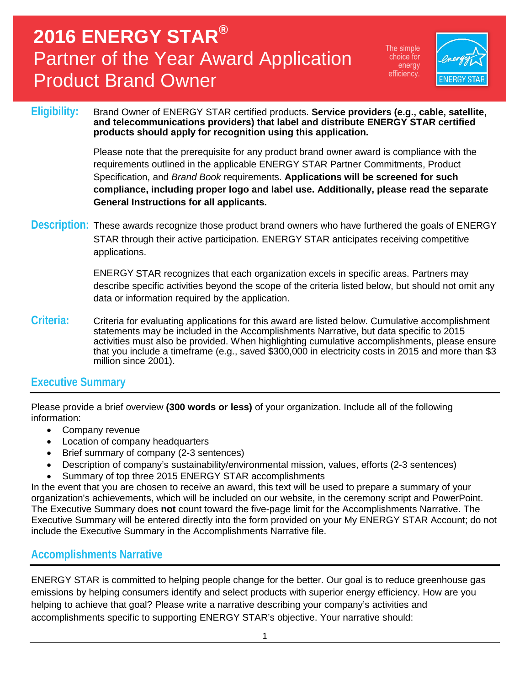The simple choice for energy efficiency.



#### Eligibility: Brand Owner of ENERGY STAR certified products. **Service providers (e.g., cable, satellite, and telecommunications providers) that label and distribute ENERGY STAR certified products should apply for recognition using this application.**

Please note that the prerequisite for any product brand owner award is compliance with the requirements outlined in the applicable ENERGY STAR Partner Commitments, Product Specification, and *Brand Book* requirements. **Applications will be screened for such compliance, including proper logo and label use. Additionally, please read the separate General Instructions for all applicants.**

**Description:** These awards recognize those product brand owners who have furthered the goals of ENERGY STAR through their active participation. ENERGY STAR anticipates receiving competitive applications.

> ENERGY STAR recognizes that each organization excels in specific areas. Partners may describe specific activities beyond the scope of the criteria listed below, but should not omit any data or information required by the application.

**Criteria:** Criteria for evaluating applications for this award are listed below. Cumulative accomplishment statements may be included in the Accomplishments Narrative, but data specific to 2015 activities must also be provided. When highlighting cumulative accomplishments, please ensure that you include a timeframe (e.g., saved \$300,000 in electricity costs in 2015 and more than \$3 million since 2001).

#### **Executive Summary**

Please provide a brief overview **(300 words or less)** of your organization. Include all of the following information:

- Company revenue
- Location of company headquarters
- Brief summary of company (2-3 sentences)
- Description of company's sustainability/environmental mission, values, efforts (2-3 sentences)
- Summary of top three 2015 ENERGY STAR accomplishments

In the event that you are chosen to receive an award, this text will be used to prepare a summary of your organization's achievements, which will be included on our website, in the ceremony script and PowerPoint. The Executive Summary does **not** count toward the five-page limit for the Accomplishments Narrative. The Executive Summary will be entered directly into the form provided on your My ENERGY STAR Account; do not include the Executive Summary in the Accomplishments Narrative file.

#### **Accomplishments Narrative**

ENERGY STAR is committed to helping people change for the better. Our goal is to reduce greenhouse gas emissions by helping consumers identify and select products with superior energy efficiency. How are you helping to achieve that goal? Please write a narrative describing your company's activities and accomplishments specific to supporting ENERGY STAR's objective. Your narrative should: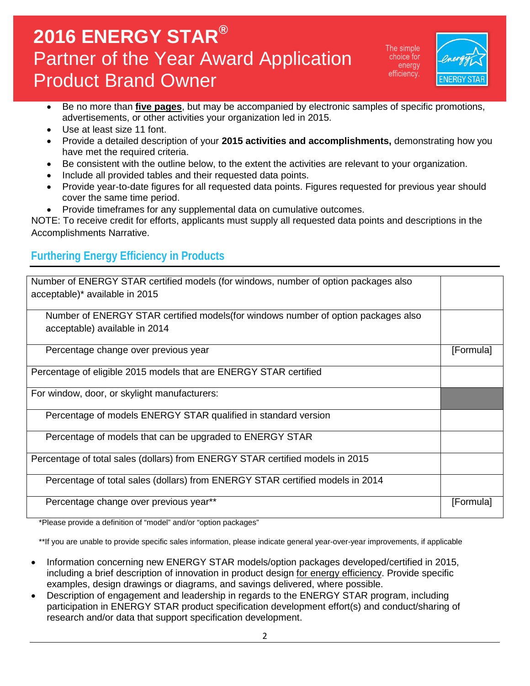The simple choice for energy efficiency.



- Be no more than **five pages**, but may be accompanied by electronic samples of specific promotions, advertisements, or other activities your organization led in 2015.
- Use at least size 11 font.
- Provide a detailed description of your **2015 activities and accomplishments,** demonstrating how you have met the required criteria.
- Be consistent with the outline below, to the extent the activities are relevant to your organization.
- Include all provided tables and their requested data points.
- Provide year-to-date figures for all requested data points. Figures requested for previous year should cover the same time period.
- Provide timeframes for any supplemental data on cumulative outcomes.

NOTE: To receive credit for efforts, applicants must supply all requested data points and descriptions in the Accomplishments Narrative.

### **Furthering Energy Efficiency in Products**

| Number of ENERGY STAR certified models (for windows, number of option packages also |           |
|-------------------------------------------------------------------------------------|-----------|
|                                                                                     |           |
| acceptable)* available in 2015                                                      |           |
|                                                                                     |           |
| Number of ENERGY STAR certified models (for windows number of option packages also  |           |
|                                                                                     |           |
| acceptable) available in 2014                                                       |           |
|                                                                                     |           |
| Percentage change over previous year                                                | [Formula] |
|                                                                                     |           |
|                                                                                     |           |
| Percentage of eligible 2015 models that are ENERGY STAR certified                   |           |
|                                                                                     |           |
|                                                                                     |           |
| For window, door, or skylight manufacturers:                                        |           |
|                                                                                     |           |
| Percentage of models ENERGY STAR qualified in standard version                      |           |
|                                                                                     |           |
|                                                                                     |           |
| Percentage of models that can be upgraded to ENERGY STAR                            |           |
|                                                                                     |           |
| Percentage of total sales (dollars) from ENERGY STAR certified models in 2015       |           |
|                                                                                     |           |
|                                                                                     |           |
| Percentage of total sales (dollars) from ENERGY STAR certified models in 2014       |           |
|                                                                                     |           |
| Percentage change over previous year**                                              | [Formula] |
|                                                                                     |           |
|                                                                                     |           |

\*Please provide a definition of "model" and/or "option packages"

\*\*If you are unable to provide specific sales information, please indicate general year-over-year improvements, if applicable

- Information concerning new ENERGY STAR models/option packages developed/certified in 2015, including a brief description of innovation in product design for energy efficiency. Provide specific examples, design drawings or diagrams, and savings delivered, where possible.
- Description of engagement and leadership in regards to the ENERGY STAR program, including participation in ENERGY STAR product specification development effort(s) and conduct/sharing of research and/or data that support specification development.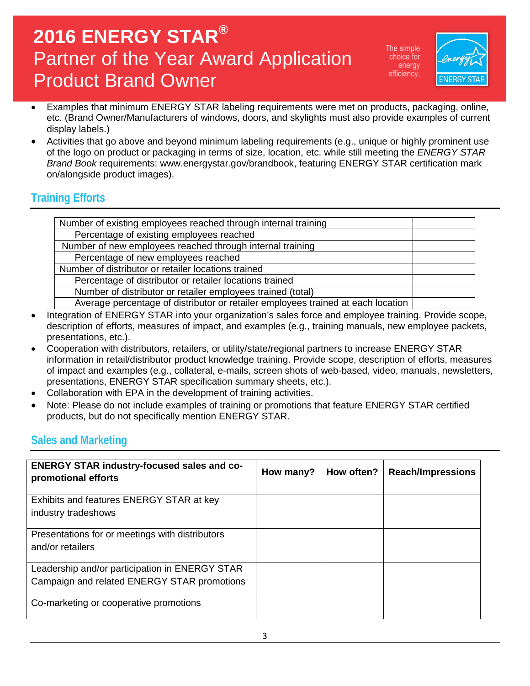The simple choice for energy efficiency.



- Examples that minimum ENERGY STAR labeling requirements were met on products, packaging, online, etc. (Brand Owner/Manufacturers of windows, doors, and skylights must also provide examples of current display labels.)
- Activities that go above and beyond minimum labeling requirements (e.g., unique or highly prominent use of the logo on product or packaging in terms of size, location, etc. while still meeting the *ENERGY STAR Brand Book* requirements: www.energystar.gov/brandbook, featuring ENERGY STAR certification mark on/alongside product images).

### **Training Efforts**

- Integration of ENERGY STAR into your organization's sales force and employee training. Provide scope, description of efforts, measures of impact, and examples (e.g., training manuals, new employee packets, presentations, etc.).
- Cooperation with distributors, retailers, or utility/state/regional partners to increase ENERGY STAR information in retail/distributor product knowledge training. Provide scope, description of efforts, measures of impact and examples (e.g., collateral, e-mails, screen shots of web-based, video, manuals, newsletters, presentations, ENERGY STAR specification summary sheets, etc.).
- Collaboration with EPA in the development of training activities.
- Note: Please do not include examples of training or promotions that feature ENERGY STAR certified products, but do not specifically mention ENERGY STAR.

#### **Sales and Marketing**

| <b>ENERGY STAR industry-focused sales and co-</b><br>promotional efforts                      | How many? | How often? | <b>Reach/Impressions</b> |
|-----------------------------------------------------------------------------------------------|-----------|------------|--------------------------|
| Exhibits and features ENERGY STAR at key<br>industry tradeshows                               |           |            |                          |
| Presentations for or meetings with distributors<br>and/or retailers                           |           |            |                          |
| Leadership and/or participation in ENERGY STAR<br>Campaign and related ENERGY STAR promotions |           |            |                          |
| Co-marketing or cooperative promotions                                                        |           |            |                          |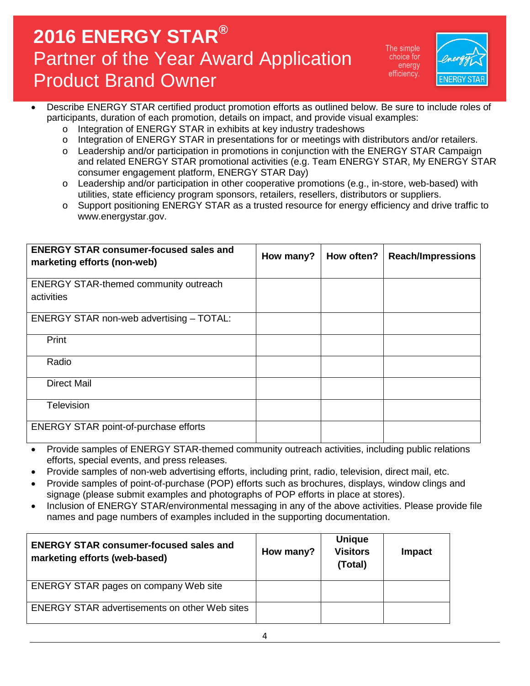The simple choice for energy efficiency.



- Describe ENERGY STAR certified product promotion efforts as outlined below. Be sure to include roles of participants, duration of each promotion, details on impact, and provide visual examples:
	- o Integration of ENERGY STAR in exhibits at key industry tradeshows<br>
	o Integration of ENERGY STAR in presentations for or meetings with do
	- Integration of ENERGY STAR in presentations for or meetings with distributors and/or retailers.
	- o Leadership and/or participation in promotions in conjunction with the ENERGY STAR Campaign and related ENERGY STAR promotional activities (e.g. Team ENERGY STAR, My ENERGY STAR consumer engagement platform, ENERGY STAR Day)
	- o Leadership and/or participation in other cooperative promotions (e.g., in-store, web-based) with utilities, state efficiency program sponsors, retailers, resellers, distributors or suppliers.
	- o Support positioning ENERGY STAR as a trusted resource for energy efficiency and drive traffic to www.energystar.gov.

| <b>ENERGY STAR consumer-focused sales and</b><br>marketing efforts (non-web) | How many? | How often? | <b>Reach/Impressions</b> |
|------------------------------------------------------------------------------|-----------|------------|--------------------------|
| <b>ENERGY STAR-themed community outreach</b><br>activities                   |           |            |                          |
| ENERGY STAR non-web advertising - TOTAL:                                     |           |            |                          |
| Print                                                                        |           |            |                          |
| Radio                                                                        |           |            |                          |
| <b>Direct Mail</b>                                                           |           |            |                          |
| Television                                                                   |           |            |                          |
| <b>ENERGY STAR point-of-purchase efforts</b>                                 |           |            |                          |

- Provide samples of ENERGY STAR-themed community outreach activities, including public relations efforts, special events, and press releases.
- Provide samples of non-web advertising efforts, including print, radio, television, direct mail, etc.
- Provide samples of point-of-purchase (POP) efforts such as brochures, displays, window clings and signage (please submit examples and photographs of POP efforts in place at stores).
- Inclusion of ENERGY STAR/environmental messaging in any of the above activities. Please provide file names and page numbers of examples included in the supporting documentation.

| <b>ENERGY STAR consumer-focused sales and</b><br>marketing efforts (web-based) | How many? | <b>Unique</b><br><b>Visitors</b><br>(Total) | Impact |
|--------------------------------------------------------------------------------|-----------|---------------------------------------------|--------|
| <b>ENERGY STAR pages on company Web site</b>                                   |           |                                             |        |
| <b>ENERGY STAR advertisements on other Web sites</b>                           |           |                                             |        |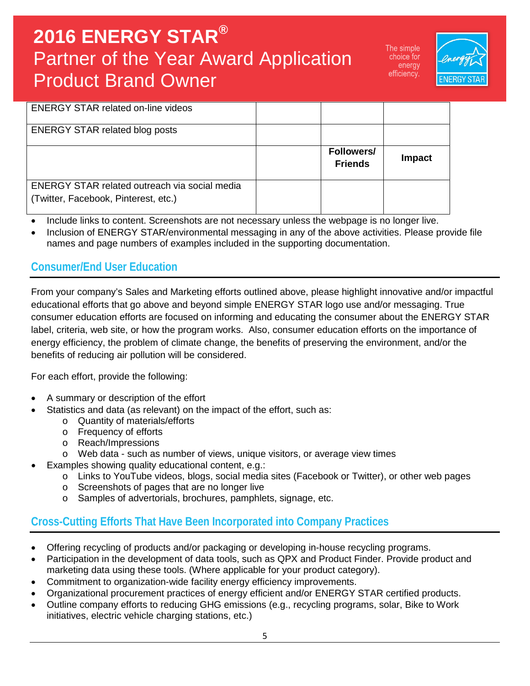The simple choice for energy efficiency.



| <b>ENERGY STAR related on-line videos</b> |                                     |        |
|-------------------------------------------|-------------------------------------|--------|
| <b>ENERGY STAR related blog posts</b>     |                                     |        |
|                                           | <b>Followers/</b><br><b>Friends</b> | Impact |
|                                           |                                     |        |

- Include links to content. Screenshots are not necessary unless the webpage is no longer live.
- Inclusion of ENERGY STAR/environmental messaging in any of the above activities. Please provide file names and page numbers of examples included in the supporting documentation.

#### **Consumer/End User Education**

From your company's Sales and Marketing efforts outlined above, please highlight innovative and/or impactful educational efforts that go above and beyond simple ENERGY STAR logo use and/or messaging. True consumer education efforts are focused on informing and educating the consumer about the ENERGY STAR label, criteria, web site, or how the program works. Also, consumer education efforts on the importance of energy efficiency, the problem of climate change, the benefits of preserving the environment, and/or the benefits of reducing air pollution will be considered.

For each effort, provide the following:

- A summary or description of the effort
- Statistics and data (as relevant) on the impact of the effort, such as:
	- o Quantity of materials/efforts
	- o Frequency of efforts
	- o Reach/Impressions
	- o Web data such as number of views, unique visitors, or average view times
- Examples showing quality educational content, e.g.:
	- o Links to YouTube videos, blogs, social media sites (Facebook or Twitter), or other web pages
	- o Screenshots of pages that are no longer live
	- o Samples of advertorials, brochures, pamphlets, signage, etc.

#### **Cross-Cutting Efforts That Have Been Incorporated into Company Practices**

- Offering recycling of products and/or packaging or developing in-house recycling programs.
- Participation in the development of data tools, such as QPX and Product Finder. Provide product and marketing data using these tools. (Where applicable for your product category).
- Commitment to organization-wide facility energy efficiency improvements.
- Organizational procurement practices of energy efficient and/or ENERGY STAR certified products.
- Outline company efforts to reducing GHG emissions (e.g., recycling programs, solar, Bike to Work initiatives, electric vehicle charging stations, etc.)